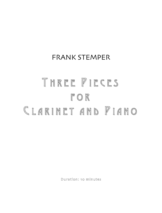#### FRANK STEMPER

# T HREE PIECES F O R C L A R I N E T A N D P I A N O

Duration: 10 minutes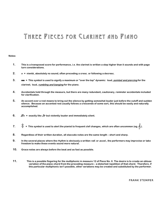### THREE PIECES FOR CLARINET AND PIANO

#### **Notes:**

- 1. This is a transposed score for performance, i.e. the clarinet is written a step higher than it sounds and with page **turn considerations.**
- **2.** *n* **= nienté, absolutely no sound; often preceding a cresc. or following a decresc.**
- 3. • This symbol is used to signify a maximum or "over the top" dynamic: loud, *pointed and piercing* for the **clarinet; loud, rumbling and banging for the piano.**
- **4. Accidentals hold through the measure, but there are many redundant, cautionary, reminder accidentals included for clarification.**
- 5. An accent over a rest means to bring out the silence by getting somewhat louder just before the cutoff and sudden silence. Because an accented rest usually follows a crescendo of some sort, this should be easily and naturally **accomplished.**
- **6.**  $\mathbf{f}$   $\mathbf{f}$  = exactly like  $\mathbf{f}$  but violently louder and immediately silent.
- 7.  $\ddot{\ddot{\cdot}}$  = This symbol is used to alert the pianist to frequent clef changes, which are often uncommon (eg.  $\&$ ).
- **8. Regardless of their written duration, all staccato notes are the same length – short and sharp.**
- 9. In the several places where the rhythm is obviously a written rall. or accel., the performers may improvise or take **freedom to make these events sound more natural.**
- **10. Grace notes are always before the beat and as fast as possible.**
- 11. This is a possible fingering for the multiphonic in measure 12 of Piece No. II. The desire is to create an obtuse variation of the piano chord from the preceding measure – a distorted repetition of that chord. Therefore, if **this particular multiphonic isn't possible, other variations may be created and substituted by the performer.**

FRANK STEMPER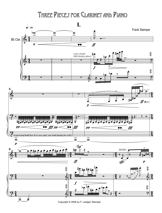## three pieces for clarinet and piano



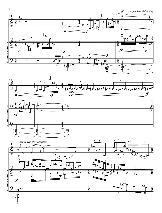*gliss. - a step or less while fading*



.

.

˙ ˙

#

*5*





2

 $\zeta$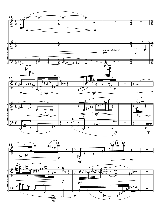



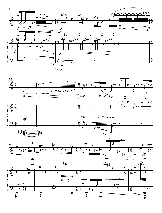



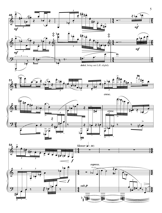







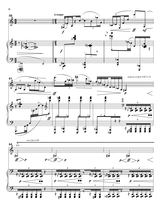



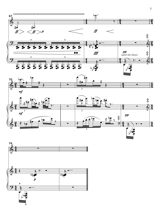



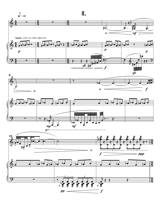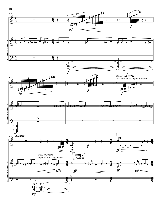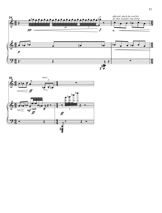

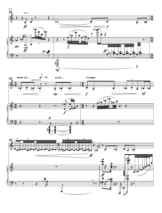



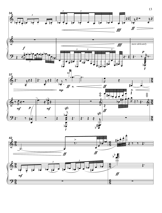





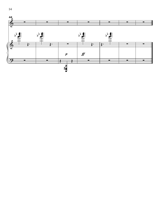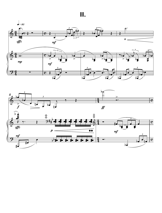III.



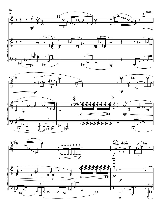





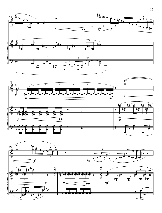



œ

œ

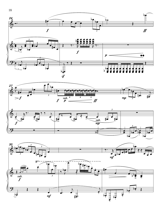





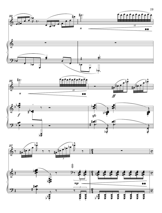





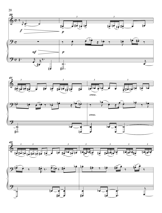



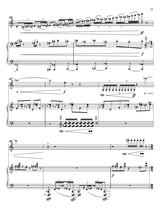



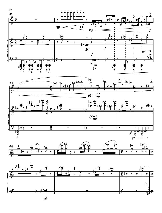